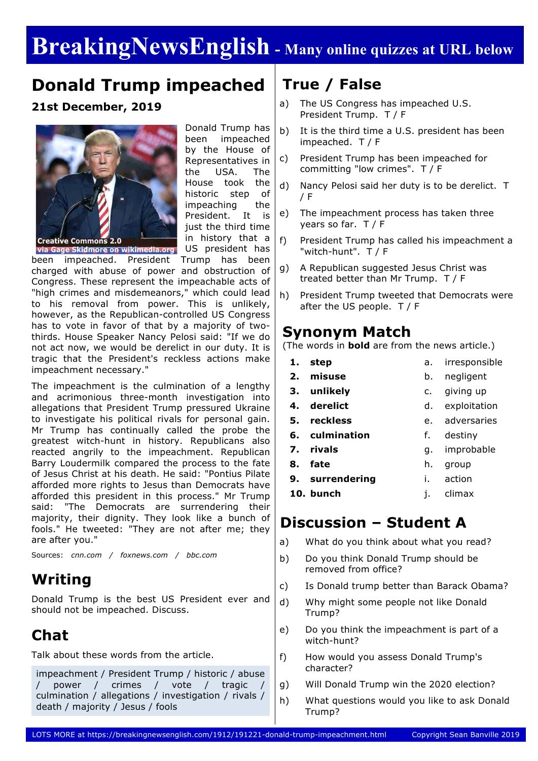# **BreakingNewsEnglish - Many online quizzes at URL below**

# **Donald Trump impeached**

### **21st December, 2019**



Donald Trump has been impeached by the House of Representatives in the USA. The House took the historic step of impeaching the President. It is just the third time in history that a

via Gage Skidmore on wikimedia.org US president has

been impeached. President Trump has been charged with abuse of power and obstruction of Congress. These represent the impeachable acts of "high crimes and misdemeanors," which could lead to his removal from power. This is unlikely, however, as the Republican-controlled US Congress has to vote in favor of that by a majority of twothirds. House Speaker Nancy Pelosi said: "If we do not act now, we would be derelict in our duty. It is tragic that the President's reckless actions make impeachment necessary."

The impeachment is the culmination of a lengthy and acrimonious three-month investigation into allegations that President Trump pressured Ukraine to investigate his political rivals for personal gain. Mr Trump has continually called the probe the greatest witch-hunt in history. Republicans also reacted angrily to the impeachment. Republican Barry Loudermilk compared the process to the fate of Jesus Christ at his death. He said: "Pontius Pilate afforded more rights to Jesus than Democrats have afforded this president in this process." Mr Trump said: "The Democrats are surrendering their majority, their dignity. They look like a bunch of fools." He tweeted: "They are not after me; they are after you."

Sources: *cnn.com / foxnews.com / bbc.com*

# **Writing**

Donald Trump is the best US President ever and should not be impeached. Discuss.

# **Chat**

Talk about these words from the article.

impeachment / President Trump / historic / abuse / power / crimes / vote / tragic / culmination / allegations / investigation / rivals / death / majority / Jesus / fools

# **True / False**

- a) The US Congress has impeached U.S. President Trump. T / F
- b) It is the third time a U.S. president has been impeached. T / F
- c) President Trump has been impeached for committing "low crimes". T / F
- d) Nancy Pelosi said her duty is to be derelict. T / F
- e) The impeachment process has taken three years so far. T / F
- f) President Trump has called his impeachment a "witch-hunt". T / F
- g) A Republican suggested Jesus Christ was treated better than Mr Trump. T / F
- h) President Trump tweeted that Democrats were after the US people. T / F

## **Synonym Match**

(The words in **bold** are from the news article.)

- **1. step** a. irresponsible
	- b. negligent
	- c. giving up
- **4. derelict** d. exploitation
- **5. reckless** e. adversaries
- **6. culmination** f. destiny
- **7. rivals** g. improbable
- **8. fate**
- **9. surrendering** h. group i. action
- **10. bunch**

**2. misuse 3. unlikely**

j. climax

## **Discussion – Student A**

- a) What do you think about what you read?
- b) Do you think Donald Trump should be removed from office?
- c) Is Donald trump better than Barack Obama?
- d) Why might some people not like Donald Trump?
- e) Do you think the impeachment is part of a witch-hunt?
- f) How would you assess Donald Trump's character?
- g) Will Donald Trump win the 2020 election?
- h) What questions would you like to ask Donald Trump?